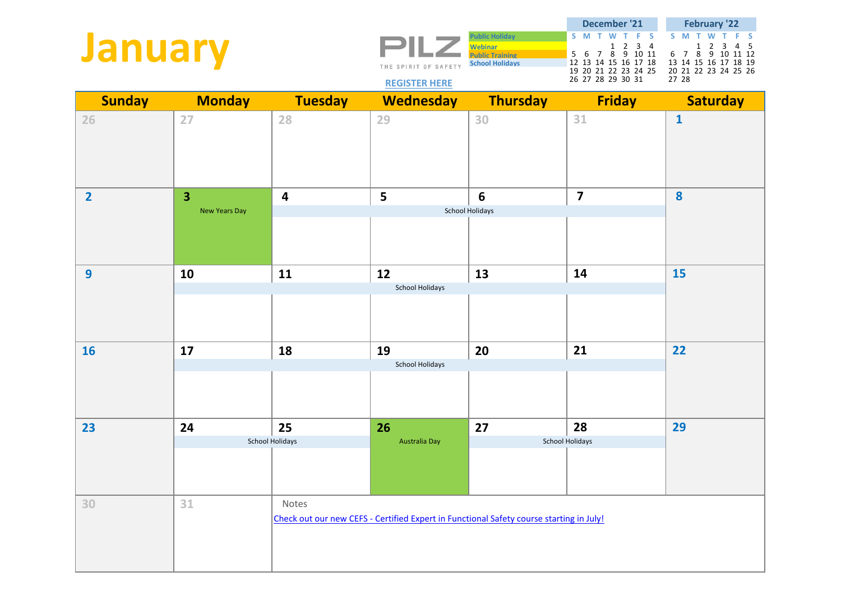**January**

 $\overline{\phantom{a}}$ THE SPIRIT OF SAFETY

**Public Holiday S M T W T F S S M T W T F S Webinar** 1 2 3 4<br> **Public Training** 1 2 3 4<br> **Public Training** 2 5 6 7 8 9 10 11 **Public Training 5 6 7 8 9 10 11 6 7 8 9 10 11 12<br>
School Holidays 12 13 14 15 16 17 18 13 14 15 16 17 18 19 School Holidays** 12 13 14 15 16 17 18 13 14 15 16 17 18 19 19 20 21 22 23 24 25 20 21 22 23 24 25 26 26 27 28 29 30 31 27 28 **December '21 February '22**

## **[REGISTER HERE](https://www.pilz.com/en-AU/trainings)**

| <b>Sunday</b>  | <b>Monday</b>           | <b>Tuesday</b>          | <b>Wednesday</b>                                                                        | <b>Thursday</b> | <b>Friday</b>           | <b>Saturday</b>  |
|----------------|-------------------------|-------------------------|-----------------------------------------------------------------------------------------|-----------------|-------------------------|------------------|
| 26             | 27                      | 28                      | 29                                                                                      | 30              | 31                      | $\mathbf{1}$     |
| $\overline{2}$ | $\overline{\mathbf{3}}$ | $\overline{\mathbf{4}}$ | 5                                                                                       | $6\phantom{1}6$ | $\overline{\mathbf{z}}$ | $\boldsymbol{8}$ |
|                | <b>New Years Day</b>    |                         |                                                                                         | School Holidays |                         |                  |
| $\overline{9}$ | 10                      | 11                      | 12                                                                                      | 13              | 14                      | <b>15</b>        |
|                |                         |                         | <b>School Holidays</b>                                                                  |                 |                         |                  |
| <b>16</b>      | 17                      | 18                      | 19                                                                                      | 20              | 21                      | 22               |
|                |                         |                         | School Holidays                                                                         |                 |                         |                  |
| 23             | 24                      | 25                      | 26                                                                                      | 27              | 28                      | 29               |
|                |                         | School Holidays         | Australia Day                                                                           |                 | School Holidays         |                  |
| 30             | 31                      | Notes                   | Check out our new CEFS - Certified Expert in Functional Safety course starting in July! |                 |                         |                  |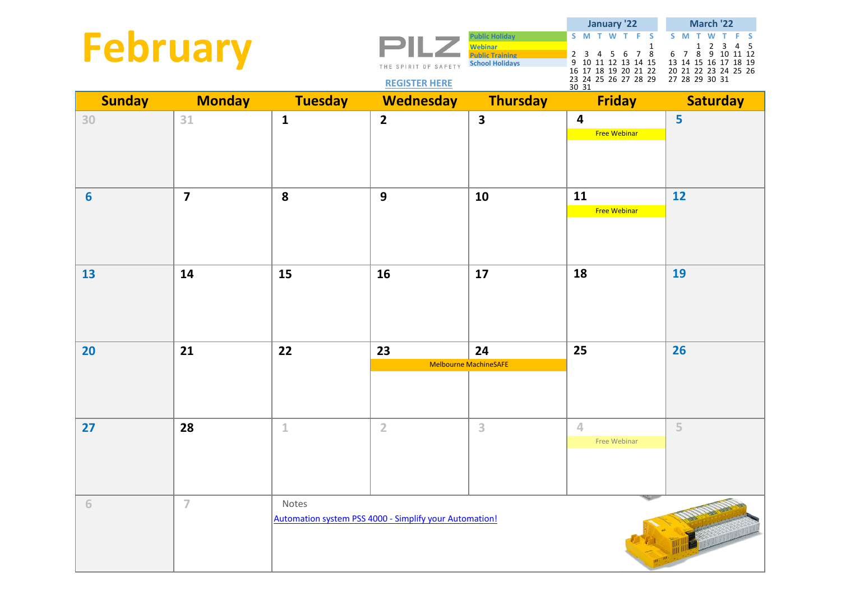| <b>February</b> |                         |                | THE SPIRIT OF SAFETY                                          | <b>Public Holiday</b><br><b>Webinar</b><br>Public Training<br><b>School Holidays</b> | January '22<br>S M T W<br>F <sub>S</sub><br>T.<br>$\mathbf{1}$<br>7 8<br>$2\quad 3\quad 4\quad 5\quad 6$<br>9 10 11 12 13 14 15<br>16 17 18 19 20 21 22 | March '22<br>S M<br>$\overline{2}$<br>3<br>5<br>1<br>4<br>8 9 10 11 12<br>6 7<br>13 14 15 16 17 18 19<br>20 21 22 23 24 25 26 |
|-----------------|-------------------------|----------------|---------------------------------------------------------------|--------------------------------------------------------------------------------------|---------------------------------------------------------------------------------------------------------------------------------------------------------|-------------------------------------------------------------------------------------------------------------------------------|
|                 |                         |                | <b>REGISTER HERE</b>                                          |                                                                                      | 23 24 25 26 27 28 29<br>30 31                                                                                                                           | 27 28 29 30 31                                                                                                                |
| <b>Sunday</b>   | <b>Monday</b>           | <b>Tuesday</b> | <b>Wednesday</b>                                              | <b>Thursday</b>                                                                      | <b>Friday</b>                                                                                                                                           | <b>Saturday</b>                                                                                                               |
| 30              | 31                      | $\mathbf{1}$   | $\overline{2}$                                                | $\overline{\mathbf{3}}$                                                              | 4<br><b>Free Webinar</b>                                                                                                                                | 5                                                                                                                             |
| $6\phantom{1}6$ | $\overline{\mathbf{z}}$ | 8              | 9                                                             | 10                                                                                   | 11<br><b>Free Webinar</b>                                                                                                                               | 12                                                                                                                            |
| 13              | 14                      | 15             | 16                                                            | 17                                                                                   | 18                                                                                                                                                      | 19                                                                                                                            |
| 20              | 21                      | 22             | 23                                                            | 24                                                                                   | 25                                                                                                                                                      | 26                                                                                                                            |
|                 |                         |                |                                                               | Melbourne MachineSAFE                                                                |                                                                                                                                                         |                                                                                                                               |
|                 |                         |                |                                                               |                                                                                      |                                                                                                                                                         |                                                                                                                               |
| 27              | 28                      | $\mathbf 1$    | $\overline{2}$                                                | 3                                                                                    | $\overline{4}$                                                                                                                                          | 5                                                                                                                             |
|                 |                         |                |                                                               |                                                                                      | Free Webinar                                                                                                                                            |                                                                                                                               |
| 6               | $\overline{7}$          | Notes          |                                                               |                                                                                      |                                                                                                                                                         |                                                                                                                               |
|                 |                         |                | <b>Automation system PSS 4000 - Simplify your Automation!</b> |                                                                                      |                                                                                                                                                         |                                                                                                                               |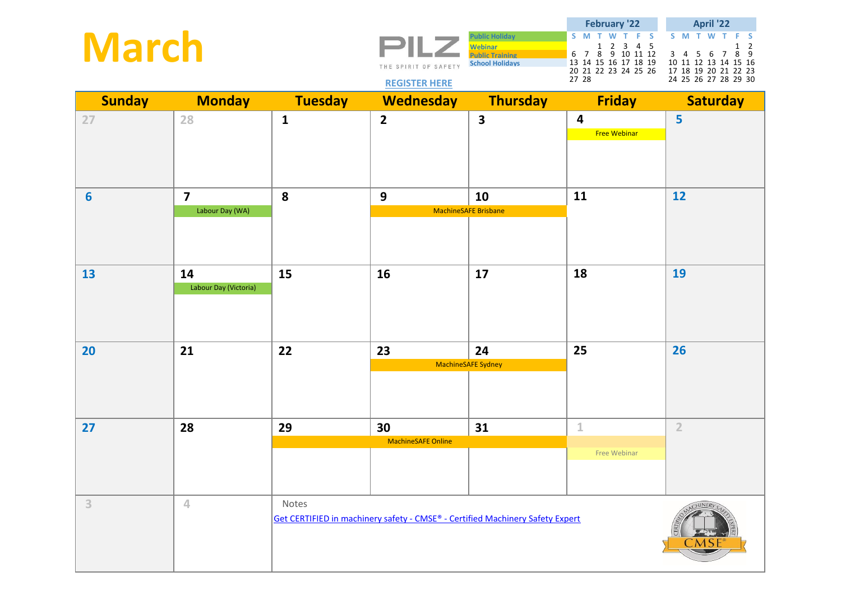| <b>March</b>    |                             |                | THE SPIRIT OF SAFETY<br><b>REGISTER HERE</b>                                  | <b>Public Holiday</b><br><b>Webinar</b><br><b>Public Training</b><br><b>School Holidays</b> | <b>February '22</b><br>T F S<br>S M<br>W<br>$\begin{array}{cccc} & 1 & 2 & 3 & 4 & 5 \\ 6 & 7 & 8 & 9 & 10 & 11 & 12 \\ 13 & 14 & 15 & 16 & 17 & 18 & 19 \end{array}$<br>20 21 22 23 24 25 26<br>27 28 | April '22<br>S M T W<br>F.<br>-S<br>$\overline{2}$<br>1<br>$\begin{array}{cccccc} 3 & 4 & 5 & 6 & 7 & 8 & 9 \\ 10 & 11 & 12 & 13 & 14 & 15 & 16 \end{array}$<br>17 18 19 20 21 22 23<br>24 25 26 27 28 29 30 |
|-----------------|-----------------------------|----------------|-------------------------------------------------------------------------------|---------------------------------------------------------------------------------------------|--------------------------------------------------------------------------------------------------------------------------------------------------------------------------------------------------------|--------------------------------------------------------------------------------------------------------------------------------------------------------------------------------------------------------------|
| <b>Sunday</b>   | <b>Monday</b>               | <b>Tuesday</b> | <b>Wednesday</b>                                                              | <b>Thursday</b>                                                                             | <b>Friday</b>                                                                                                                                                                                          | <b>Saturday</b>                                                                                                                                                                                              |
| 27              | 28                          | $\mathbf{1}$   | $\overline{\mathbf{2}}$                                                       | $\overline{\mathbf{3}}$                                                                     | 4<br><b>Free Webinar</b>                                                                                                                                                                               | 5                                                                                                                                                                                                            |
| $6\phantom{1}6$ | $\overline{\mathbf{z}}$     | 8              | 9                                                                             | 10                                                                                          | 11                                                                                                                                                                                                     | 12                                                                                                                                                                                                           |
|                 | Labour Day (WA)             |                |                                                                               | <b>MachineSAFE Brisbane</b>                                                                 |                                                                                                                                                                                                        |                                                                                                                                                                                                              |
| 13              | 14<br>Labour Day (Victoria) | 15             | 16                                                                            | 17                                                                                          | 18                                                                                                                                                                                                     | 19                                                                                                                                                                                                           |
| 20              | 21                          | 22             | 23                                                                            | 24                                                                                          | 25                                                                                                                                                                                                     | 26                                                                                                                                                                                                           |
|                 |                             |                |                                                                               | MachineSAFE Sydney                                                                          |                                                                                                                                                                                                        |                                                                                                                                                                                                              |
| 27              | 28                          | 29             | 30                                                                            | 31                                                                                          | $\mathbf 1$                                                                                                                                                                                            | $\overline{2}$                                                                                                                                                                                               |
|                 |                             |                | <b>MachineSAFE Online</b>                                                     |                                                                                             | Free Webinar                                                                                                                                                                                           |                                                                                                                                                                                                              |
| $\overline{3}$  | $\overline{4}$              | Notes          | Get CERTIFIED in machinery safety - CMSE® - Certified Machinery Safety Expert |                                                                                             |                                                                                                                                                                                                        | CHINER)                                                                                                                                                                                                      |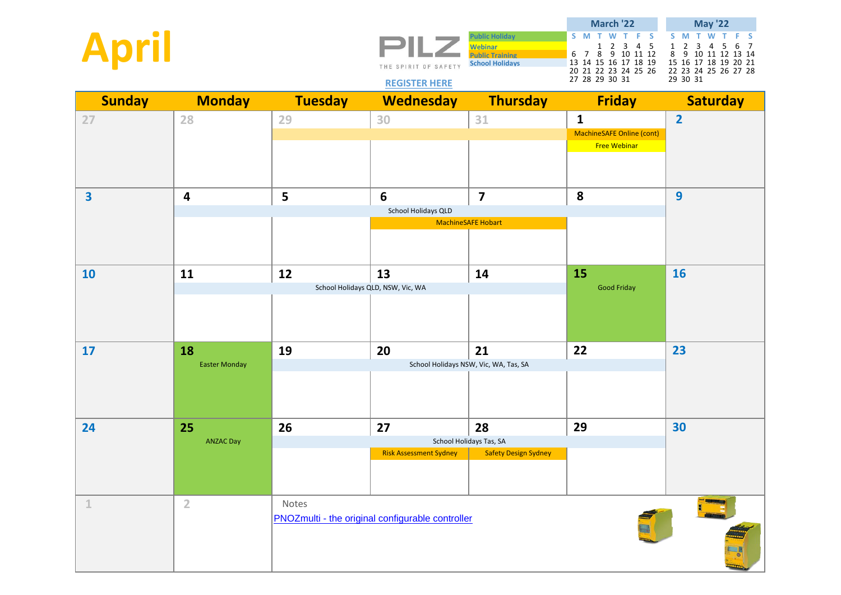| <b>April</b>            |                         |                | 21 L Z<br>THE SPIRIT OF SAFETY<br><b>REGISTER HERE</b> | <b>Public Holiday</b><br><b>Webinar</b><br><b>Public Training</b><br><b>School Holidays</b> | March '22<br>S M<br>F.<br>-S<br>2 3 4 5<br>$\mathbf{1}$<br>8 9 10 11 12<br>6 7<br>13 14 15 16 17 18 19<br>20 21 22 23 24 25 26<br>27 28 29 30 31 | <b>May '22</b><br>S M<br>F.<br>T.<br>-S<br>$\overline{2}$<br>$\mathbf{1}$<br>3<br>5<br>6 7<br>4<br>8<br>9 10 11 12<br>13 14<br>15 16 17 18 19 20 21<br>22 23 24 25 26 27 28<br>29 30 31 |
|-------------------------|-------------------------|----------------|--------------------------------------------------------|---------------------------------------------------------------------------------------------|--------------------------------------------------------------------------------------------------------------------------------------------------|-----------------------------------------------------------------------------------------------------------------------------------------------------------------------------------------|
| <b>Sunday</b>           | <b>Monday</b>           | <b>Tuesday</b> | <b>Wednesday</b>                                       | <b>Thursday</b>                                                                             | <b>Friday</b>                                                                                                                                    | <b>Saturday</b>                                                                                                                                                                         |
| 27                      | 28                      | 29             | 30                                                     | $31\,$                                                                                      | $\mathbf{1}$<br>MachineSAFE Online (cont)<br><b>Free Webinar</b>                                                                                 | $\overline{2}$                                                                                                                                                                          |
| $\overline{\mathbf{3}}$ | $\overline{\mathbf{4}}$ | 5              | $6\phantom{1}$                                         | $\overline{\mathbf{z}}$                                                                     | 8                                                                                                                                                | $\overline{9}$                                                                                                                                                                          |
|                         |                         |                | School Holidays QLD                                    | <b>MachineSAFE Hobart</b>                                                                   |                                                                                                                                                  |                                                                                                                                                                                         |
|                         |                         |                |                                                        |                                                                                             |                                                                                                                                                  |                                                                                                                                                                                         |
| 10                      | 11                      | 12             | 13                                                     | 14                                                                                          | 15                                                                                                                                               | <b>16</b>                                                                                                                                                                               |
|                         |                         |                | School Holidays QLD, NSW, Vic, WA                      |                                                                                             | <b>Good Friday</b>                                                                                                                               |                                                                                                                                                                                         |
| 17                      | 18                      | 19             | 20                                                     | 21                                                                                          | 22                                                                                                                                               | 23                                                                                                                                                                                      |
|                         | <b>Easter Monday</b>    |                |                                                        | School Holidays NSW, Vic, WA, Tas, SA                                                       |                                                                                                                                                  |                                                                                                                                                                                         |
| 24                      | 25                      | 26             | 27                                                     | 28                                                                                          | 29                                                                                                                                               | 30                                                                                                                                                                                      |
|                         | <b>ANZAC Day</b>        |                | <b>Risk Assessment Sydney</b>                          | School Holidays Tas, SA<br><b>Safety Design Sydney</b>                                      |                                                                                                                                                  |                                                                                                                                                                                         |
|                         |                         |                |                                                        |                                                                                             |                                                                                                                                                  |                                                                                                                                                                                         |
| $\mathbf{1}$            | $\overline{2}$          | Notes          | PNOZmulti - the original configurable controller       |                                                                                             |                                                                                                                                                  | $\frac{1}{\sqrt{2}}$                                                                                                                                                                    |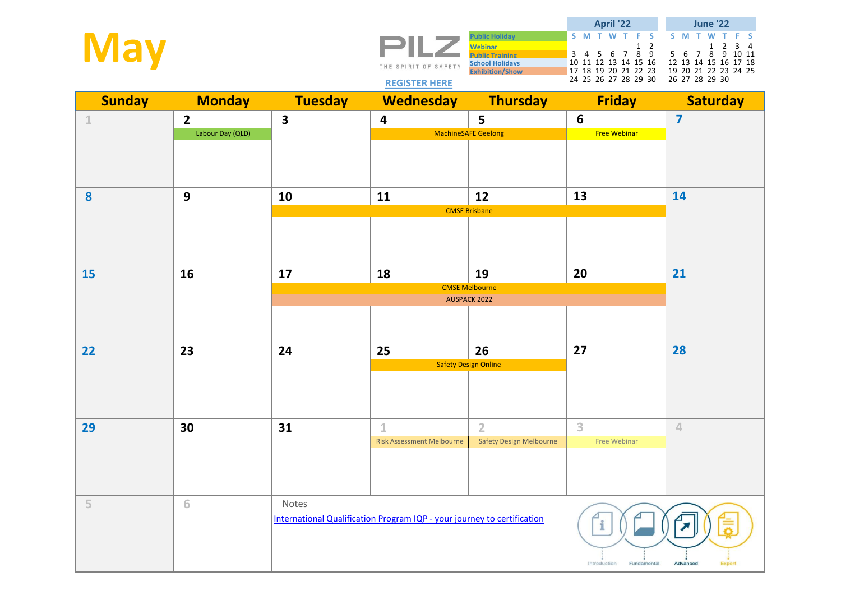| <b>May</b>    |                  |                         | PILZ<br>THE SPIRIT OF SAFETY<br><b>REGISTER HERE</b>                    | <b>Public Holiday</b><br><b>Webinar</b><br><b>Public Training</b><br><b>School Holidays</b><br><b>Exhibition/Show</b> | April '22<br>S M T<br>F.<br>-S<br>$3$ 4 5 6 7 8 9<br>10 11 12 13 14 15 16<br>17 18 19 20 21 22 23<br>24 25 26 27 28 29 30 | <b>June '22</b><br>S M<br>-S<br>$\overline{2}$<br>$3 \quad 4$<br>$\mathbf{1}$<br>7 8<br>9 10 11<br>5 6<br>12 13 14 15 16 17 18<br>19 20 21 22 23 24 25<br>26 27 28 29 30 |
|---------------|------------------|-------------------------|-------------------------------------------------------------------------|-----------------------------------------------------------------------------------------------------------------------|---------------------------------------------------------------------------------------------------------------------------|--------------------------------------------------------------------------------------------------------------------------------------------------------------------------|
| <b>Sunday</b> | <b>Monday</b>    | <b>Tuesday</b>          | <b>Wednesday</b>                                                        | <b>Thursday</b>                                                                                                       | <b>Friday</b>                                                                                                             | <b>Saturday</b>                                                                                                                                                          |
| $\mathbbm{1}$ | $\overline{2}$   | $\overline{\mathbf{3}}$ | $\overline{\mathbf{4}}$                                                 | 5                                                                                                                     | $6\phantom{1}6$                                                                                                           | $\overline{\mathbf{z}}$                                                                                                                                                  |
|               | Labour Day (QLD) |                         |                                                                         | <b>MachineSAFE Geelong</b>                                                                                            | <b>Free Webinar</b>                                                                                                       |                                                                                                                                                                          |
| 8             | $\mathbf{9}$     | 10                      | 11                                                                      | 12                                                                                                                    | 13                                                                                                                        | 14                                                                                                                                                                       |
|               |                  |                         |                                                                         | <b>CMSE Brisbane</b>                                                                                                  |                                                                                                                           |                                                                                                                                                                          |
| <b>15</b>     | 16               | 17                      | 18                                                                      | 19<br><b>CMSE Melbourne</b>                                                                                           | 20                                                                                                                        | 21                                                                                                                                                                       |
|               |                  |                         |                                                                         |                                                                                                                       |                                                                                                                           |                                                                                                                                                                          |
|               |                  |                         |                                                                         |                                                                                                                       |                                                                                                                           |                                                                                                                                                                          |
| 22            | 23               | 24                      | 25                                                                      | 26                                                                                                                    | 27                                                                                                                        | 28                                                                                                                                                                       |
|               |                  |                         |                                                                         | <b>Safety Design Online</b>                                                                                           |                                                                                                                           |                                                                                                                                                                          |
| 29            | 30               | 31                      | $\mathbf 1$<br><b>Risk Assessment Melbourne</b>                         | $\overline{2}$<br><b>Safety Design Melbourne</b>                                                                      | 3<br><b>Free Webinar</b>                                                                                                  | $\overline{4}$                                                                                                                                                           |
| 5             | 6                | Notes                   | International Qualification Program IQP - your journey to certification |                                                                                                                       | Introduction<br>Fundamental                                                                                               | Advanced<br>Expert                                                                                                                                                       |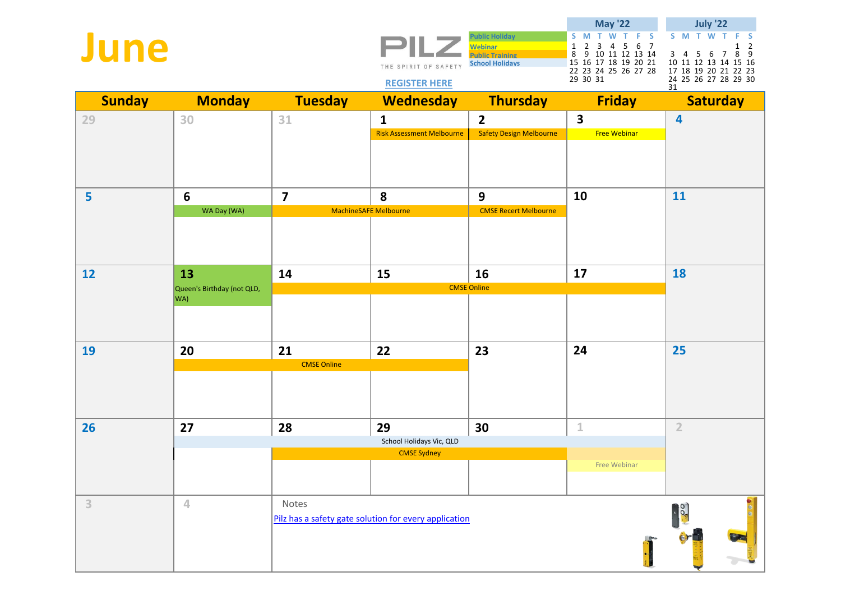| June          |                                         |                          | THE SPIRIT OF SAFETY<br><b>REGISTER HERE</b>          | <b>Public Holiday</b><br><b>Webinar</b><br><b>Public Training</b><br><b>School Holidays</b> | <b>May '22</b><br>$S$ $M$ $\overline{T}$<br>W<br>T.<br>F <sub>S</sub><br>$\overline{3}$<br>4 5 6 7<br>$\mathbf{1}$<br>$\overline{2}$<br>9 10 11 12 13 14<br>8<br>15 16 17 18 19 20 21<br>22 23 24 25 26 27 28<br>29 30 31 | <b>July '22</b><br>S M T<br><b>S</b><br><b>M</b><br>$\overline{2}$<br>1<br>8 9<br>$3 \quad 4 \quad 5$<br>- 6<br>7<br>10 11 12 13 14 15 16<br>17 18 19 20 21 22 23<br>24 25 26 27 28 29 30<br>31 |
|---------------|-----------------------------------------|--------------------------|-------------------------------------------------------|---------------------------------------------------------------------------------------------|---------------------------------------------------------------------------------------------------------------------------------------------------------------------------------------------------------------------------|-------------------------------------------------------------------------------------------------------------------------------------------------------------------------------------------------|
| <b>Sunday</b> | <b>Monday</b>                           | <b>Tuesday</b>           | <b>Wednesday</b>                                      | <b>Thursday</b>                                                                             | <b>Friday</b>                                                                                                                                                                                                             | <b>Saturday</b>                                                                                                                                                                                 |
| 29            | 30                                      | 31                       | $\mathbf{1}$<br><b>Risk Assessment Melbourne</b>      | $\overline{\mathbf{2}}$<br><b>Safety Design Melbourne</b>                                   | $\overline{\mathbf{3}}$<br><b>Free Webinar</b>                                                                                                                                                                            | $\overline{4}$                                                                                                                                                                                  |
| 5             | 6<br>WA Day (WA)                        | $\overline{\mathbf{z}}$  | 8<br><b>MachineSAFE Melbourne</b>                     | $\mathbf{9}$<br><b>CMSE Recert Melbourne</b>                                                | 10                                                                                                                                                                                                                        | 11                                                                                                                                                                                              |
| 12            | 13<br>Queen's Birthday (not QLD,<br>WA) | 14                       | 15                                                    | 16<br><b>CMSE Online</b>                                                                    | 17                                                                                                                                                                                                                        | 18                                                                                                                                                                                              |
| 19            | 20                                      | 21<br><b>CMSE Online</b> | 22                                                    | 23                                                                                          | 24                                                                                                                                                                                                                        | 25                                                                                                                                                                                              |
| 26            | 27                                      | 28                       | 29<br>School Holidays Vic, QLD<br><b>CMSE Sydney</b>  | 30                                                                                          | $\mathbf 1$<br>Free Webinar                                                                                                                                                                                               | $\overline{2}$                                                                                                                                                                                  |
| $\mathbf{3}$  | $\overline{4}$                          | Notes                    | Pilz has a safety gate solution for every application |                                                                                             |                                                                                                                                                                                                                           | $\mathbf{R}$                                                                                                                                                                                    |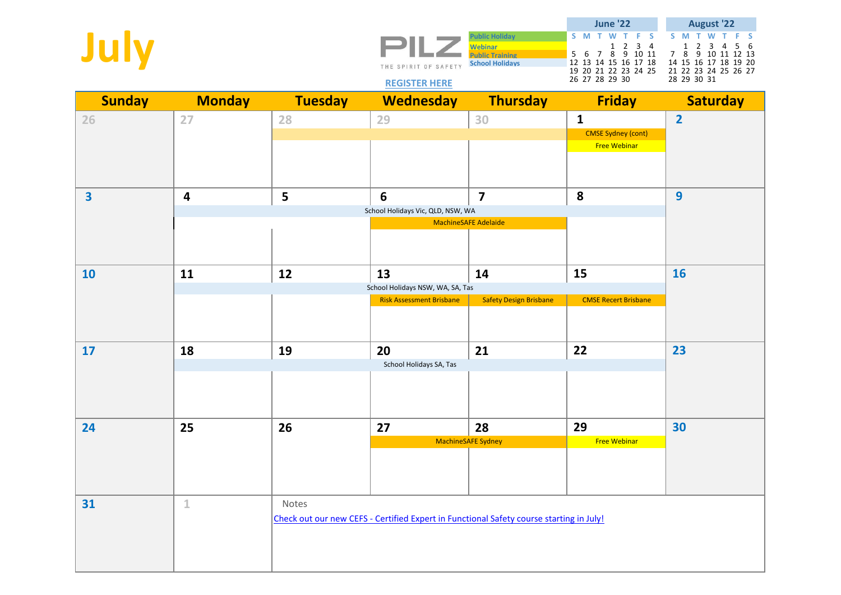| July                    |                         |                | THE SPIRIT OF SAFETY<br><b>REGISTER HERE</b>                                            | <b>Public Holiday</b><br><b>Webinar</b><br><b>Public Training</b><br><b>School Holidays</b> | <b>June '22</b><br>S M<br>W<br>F.<br><b>S</b><br>$\begin{array}{cccc} 1&2&3&4\\ 8&9&10&11 \end{array}$<br>5<br>$7\overline{ }$<br>- 6<br>12 13 14 15 16 17 18<br>19 20 21 22 23 24 25<br>26 27 28 29 30 | <b>August '22</b><br>S M<br>-S<br>2<br>-6<br>1<br>3<br>7 8<br>9 10 11 12 13<br>14 15 16 17 18 19 20<br>21 22 23 24 25 26 27<br>28 29 30 31 |
|-------------------------|-------------------------|----------------|-----------------------------------------------------------------------------------------|---------------------------------------------------------------------------------------------|---------------------------------------------------------------------------------------------------------------------------------------------------------------------------------------------------------|--------------------------------------------------------------------------------------------------------------------------------------------|
| <b>Sunday</b>           | <b>Monday</b>           | <b>Tuesday</b> | <b>Wednesday</b>                                                                        | <b>Thursday</b>                                                                             | <b>Friday</b>                                                                                                                                                                                           | <b>Saturday</b>                                                                                                                            |
| 26                      | 27                      | 28             | 29                                                                                      | 30                                                                                          | $\mathbf{1}$                                                                                                                                                                                            | $\overline{2}$                                                                                                                             |
|                         |                         |                |                                                                                         |                                                                                             | <b>CMSE Sydney (cont)</b><br><b>Free Webinar</b>                                                                                                                                                        |                                                                                                                                            |
|                         |                         |                |                                                                                         |                                                                                             |                                                                                                                                                                                                         |                                                                                                                                            |
| $\overline{\mathbf{3}}$ | $\overline{\mathbf{4}}$ | 5              | 6                                                                                       | $\overline{7}$                                                                              | 8                                                                                                                                                                                                       | 9                                                                                                                                          |
|                         |                         |                | School Holidays Vic, QLD, NSW, WA                                                       | MachineSAFE Adelaide                                                                        |                                                                                                                                                                                                         |                                                                                                                                            |
|                         |                         |                |                                                                                         |                                                                                             |                                                                                                                                                                                                         |                                                                                                                                            |
|                         |                         |                |                                                                                         |                                                                                             |                                                                                                                                                                                                         |                                                                                                                                            |
| <b>10</b>               | 11                      | 12             | 13                                                                                      | 14                                                                                          | 15                                                                                                                                                                                                      | <b>16</b>                                                                                                                                  |
|                         |                         |                | School Holidays NSW, WA, SA, Tas<br><b>Risk Assessment Brisbane</b>                     | <b>Safety Design Brisbane</b>                                                               | <b>CMSE Recert Brisbane</b>                                                                                                                                                                             |                                                                                                                                            |
|                         |                         |                |                                                                                         |                                                                                             |                                                                                                                                                                                                         |                                                                                                                                            |
| 17                      | 18                      | 19             | 20                                                                                      | 21                                                                                          | 22                                                                                                                                                                                                      | 23                                                                                                                                         |
|                         |                         |                | School Holidays SA, Tas                                                                 |                                                                                             |                                                                                                                                                                                                         |                                                                                                                                            |
| 24                      | 25                      | 26             | 27                                                                                      | 28                                                                                          | 29                                                                                                                                                                                                      | 30                                                                                                                                         |
|                         |                         |                |                                                                                         | MachineSAFE Sydney                                                                          | <b>Free Webinar</b>                                                                                                                                                                                     |                                                                                                                                            |
| 31                      | $\mathbf 1$             | Notes          |                                                                                         |                                                                                             |                                                                                                                                                                                                         |                                                                                                                                            |
|                         |                         |                | Check out our new CEFS - Certified Expert in Functional Safety course starting in July! |                                                                                             |                                                                                                                                                                                                         |                                                                                                                                            |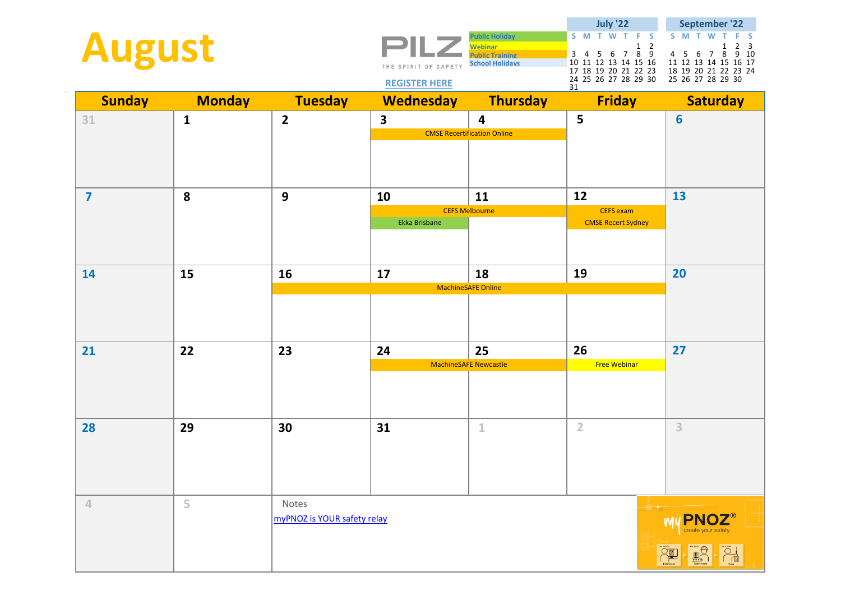| <b>August</b>           |               |                                      | THE SPIRIT OF SAFETY<br><b>REGISTER HERE</b> | <b>Public Holiday</b><br><b>Webinar</b><br>Public Training<br><b>School Holidays</b> | <b>July '22</b><br>T F S<br>S M T<br><b>W</b><br>$\begin{array}{ccccc}\n & & 1 & 2 \\ 6 & 7 & 8 & 9\n\end{array}$<br>$3 \quad 4 \quad 5$<br>10 11 12 13 14 15 16<br>17 18 19 20 21 22 23<br>24 25 26 27 28 29 30<br>31 | September '22<br>S M T<br>W<br>-S<br>2 <sub>3</sub><br>1<br>4 5 6<br>9 10<br>7 8<br>11 12 13 14 15 16 17<br>18 19 20 21 22 23 24<br>25 26 27 28 29 30 |
|-------------------------|---------------|--------------------------------------|----------------------------------------------|--------------------------------------------------------------------------------------|------------------------------------------------------------------------------------------------------------------------------------------------------------------------------------------------------------------------|-------------------------------------------------------------------------------------------------------------------------------------------------------|
| <b>Sunday</b>           | <b>Monday</b> | <b>Tuesday</b>                       | <b>Wednesday</b>                             | <b>Thursday</b>                                                                      | <b>Friday</b>                                                                                                                                                                                                          | <b>Saturday</b>                                                                                                                                       |
| 31                      | $\mathbf{1}$  | $\overline{\mathbf{2}}$              | $\overline{\mathbf{3}}$                      | 4<br><b>CMSE Recertification Online</b>                                              | 5                                                                                                                                                                                                                      | $6\phantom{1}6$                                                                                                                                       |
| $\overline{\mathbf{z}}$ | 8             | $\mathbf{9}$                         | 10<br>Ekka Brisbane                          | 11<br><b>CEFS Melbourne</b>                                                          | 12<br><b>CEFS</b> exam<br><b>CMSE Recert Sydney</b>                                                                                                                                                                    | 13                                                                                                                                                    |
| 14                      | 15            | 16                                   | 17                                           | 18<br><b>MachineSAFE Online</b>                                                      | 19                                                                                                                                                                                                                     | 20                                                                                                                                                    |
| 21                      | 22            | 23                                   | 24                                           | 25<br><b>MachineSAFE Newcastle</b>                                                   | 26<br><b>Free Webinar</b>                                                                                                                                                                                              | 27                                                                                                                                                    |
| 28                      | 29            | 30                                   | 31                                           | $\mathbf{1}$                                                                         | $\overline{2}$                                                                                                                                                                                                         | 3                                                                                                                                                     |
| 4                       | 5             | Notes<br>myPNOZ is YOUR safety relay |                                              |                                                                                      |                                                                                                                                                                                                                        | <b>PNOZ</b> ®<br><b>M</b><br>$\frac{1}{0000}$                                                                                                         |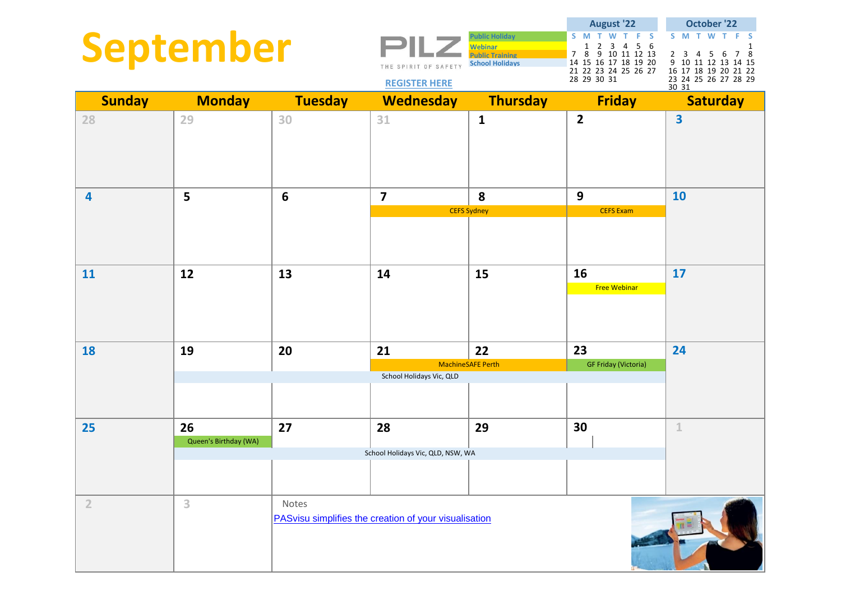|                |                       |                                                                                                                    |                                                       | <b>Public Holiday</b>                                                                                                      | <b>August '22</b><br>S M T W<br>- F -<br>- S<br>т.                                                    | <b>October '22</b><br>S M T W<br>F.<br>-S |
|----------------|-----------------------|--------------------------------------------------------------------------------------------------------------------|-------------------------------------------------------|----------------------------------------------------------------------------------------------------------------------------|-------------------------------------------------------------------------------------------------------|-------------------------------------------|
| September      |                       | <b>Webinar</b><br><b>Public Training</b><br><b>School Holidays</b><br>THE SPIRIT OF SAFETY<br><b>REGISTER HERE</b> |                                                       | 3 <sup>7</sup><br>56<br>1<br>2<br>4<br>7 8<br>9 10 11 12 13<br>14 15 16 17 18 19 20<br>21 22 23 24 25 26 27<br>28 29 30 31 | 1<br>7 8<br>2 3 4 5 6<br>9 10 11 12 13 14 15<br>16 17 18 19 20 21 22<br>23 24 25 26 27 28 29<br>30 31 |                                           |
| <b>Sunday</b>  | <b>Monday</b>         | <b>Tuesday</b>                                                                                                     | <b>Wednesday</b>                                      | <b>Thursday</b>                                                                                                            | <b>Friday</b>                                                                                         | <b>Saturday</b>                           |
| 28             | 29                    | 30                                                                                                                 | 31                                                    | $\mathbf{1}$                                                                                                               | $\overline{2}$                                                                                        | $\overline{\mathbf{3}}$                   |
| $\overline{a}$ | 5                     | $6\phantom{1}6$                                                                                                    | $\overline{7}$                                        | 8                                                                                                                          | 9                                                                                                     | 10                                        |
|                |                       |                                                                                                                    |                                                       | <b>CEFS Sydney</b>                                                                                                         | <b>CEFS Exam</b>                                                                                      |                                           |
|                |                       |                                                                                                                    |                                                       |                                                                                                                            |                                                                                                       |                                           |
| 11             | 12                    | 13                                                                                                                 | 14                                                    | 15                                                                                                                         | 16                                                                                                    | 17                                        |
|                |                       |                                                                                                                    |                                                       |                                                                                                                            | <b>Free Webinar</b>                                                                                   |                                           |
| 18             | 19                    | 20                                                                                                                 | 21                                                    | 22                                                                                                                         | 23                                                                                                    | 24                                        |
|                |                       |                                                                                                                    |                                                       | MachineSAFE Perth                                                                                                          | <b>GF Friday (Victoria)</b>                                                                           |                                           |
|                |                       |                                                                                                                    | School Holidays Vic, QLD                              |                                                                                                                            |                                                                                                       |                                           |
| 25             | 26                    | 27                                                                                                                 | 28                                                    | 29                                                                                                                         | 30                                                                                                    | $\mathbf{1}$                              |
|                | Queen's Birthday (WA) |                                                                                                                    | School Holidays Vic, QLD, NSW, WA                     |                                                                                                                            |                                                                                                       |                                           |
|                |                       |                                                                                                                    |                                                       |                                                                                                                            |                                                                                                       |                                           |
| $\overline{2}$ | 3                     | Notes                                                                                                              | PASvisu simplifies the creation of your visualisation |                                                                                                                            |                                                                                                       |                                           |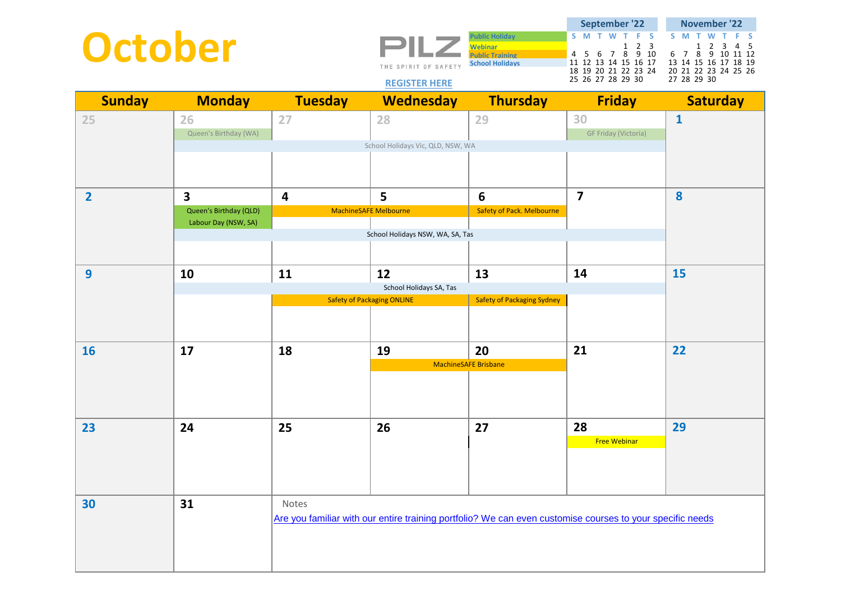| October        |                             |                | THE SPIRIT OF SAFETY<br><b>REGISTER HERE</b>                                                              | <b>Public Holiday</b><br><b>Webinar</b><br><b>Public Training</b><br><b>School Holidays</b> | September '22<br>S M T<br>-S<br>$2 \quad 3$<br>$\mathbf{1}$<br>4 5 6 7 8 9 10<br>11 12 13 14 15 16 17<br>18 19 20 21 22 23 24<br>25 26 27 28 29 30 | November '22<br>S.<br>2 3 4 5<br>1<br>8 9 10 11 12<br>6 7<br>13 14 15 16 17 18 19<br>20 21 22 23 24 25 26<br>27 28 29 30 |
|----------------|-----------------------------|----------------|-----------------------------------------------------------------------------------------------------------|---------------------------------------------------------------------------------------------|----------------------------------------------------------------------------------------------------------------------------------------------------|--------------------------------------------------------------------------------------------------------------------------|
| <b>Sunday</b>  | <b>Monday</b>               | <b>Tuesday</b> | <b>Wednesday</b>                                                                                          | Thursday                                                                                    | <b>Friday</b>                                                                                                                                      | <b>Saturday</b>                                                                                                          |
| 25             | 26<br>Queen's Birthday (WA) | 27             | 28                                                                                                        | 29                                                                                          | 30<br><b>GF Friday (Victoria)</b>                                                                                                                  | $\mathbf{1}$                                                                                                             |
|                |                             |                | School Holidays Vic, QLD, NSW, WA                                                                         |                                                                                             |                                                                                                                                                    |                                                                                                                          |
| $\overline{2}$ | 3                           | 4              | 5                                                                                                         | 6                                                                                           | $\overline{\mathbf{z}}$                                                                                                                            | 8                                                                                                                        |
|                | Queen's Birthday (QLD)      |                | <b>MachineSAFE Melbourne</b>                                                                              | <b>Safety of Pack. Melbourne</b>                                                            |                                                                                                                                                    |                                                                                                                          |
|                | Labour Day (NSW, SA)        |                | School Holidays NSW, WA, SA, Tas                                                                          |                                                                                             |                                                                                                                                                    |                                                                                                                          |
|                |                             |                |                                                                                                           |                                                                                             |                                                                                                                                                    |                                                                                                                          |
| 9              | 10                          | 11             | 12                                                                                                        | 13                                                                                          | 14                                                                                                                                                 | 15                                                                                                                       |
|                |                             |                |                                                                                                           |                                                                                             |                                                                                                                                                    |                                                                                                                          |
|                |                             |                | <b>Safety of Packaging ONLINE</b>                                                                         | <b>Safety of Packaging Sydney</b>                                                           |                                                                                                                                                    |                                                                                                                          |
|                |                             |                |                                                                                                           |                                                                                             |                                                                                                                                                    |                                                                                                                          |
| <b>16</b>      | 17                          | 18             | 19                                                                                                        | 20                                                                                          | 21                                                                                                                                                 | 22                                                                                                                       |
|                |                             |                |                                                                                                           | <b>MachineSAFE Brisbane</b>                                                                 |                                                                                                                                                    |                                                                                                                          |
| 23             | 24                          | 25             | 26                                                                                                        | 27                                                                                          | 28                                                                                                                                                 | 29                                                                                                                       |
|                |                             |                |                                                                                                           |                                                                                             | <b>Free Webinar</b>                                                                                                                                |                                                                                                                          |
|                | 31                          | Notes          |                                                                                                           |                                                                                             |                                                                                                                                                    |                                                                                                                          |
| 30             |                             |                | Are you familiar with our entire training portfolio? We can even customise courses to your specific needs |                                                                                             |                                                                                                                                                    |                                                                                                                          |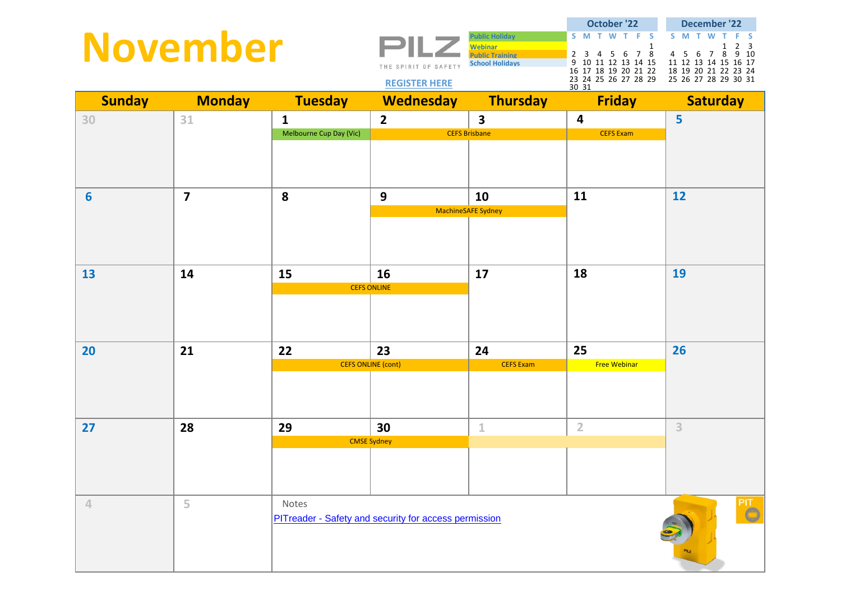|                | <b>November</b>         |                         | THE SPIRIT OF SAFETY<br><b>REGISTER HERE</b>          | <b>Public Holiday</b><br><b>Webinar</b><br><b>Public Training</b><br><b>School Holidays</b> | <b>October '22</b><br>S M T W T F<br>$\tilde{\mathbf{s}}$<br>$\mathbf{1}$<br>$2$ 3 4 5 6 7 8<br>9 10 11 12 13 14 15<br>16 17 18 19 20 21 22<br>23 24 25 26 27 28 29<br>30 31 | <b>December '22</b><br>S M T<br><b>W</b><br>F S<br>$2 \quad 3$<br>9 <sub>10</sub><br>4 5 6 7 8<br>11 12 13 14 15 16 17<br>18 19 20 21 22 23 24<br>25 26 27 28 29 30 31 |
|----------------|-------------------------|-------------------------|-------------------------------------------------------|---------------------------------------------------------------------------------------------|------------------------------------------------------------------------------------------------------------------------------------------------------------------------------|------------------------------------------------------------------------------------------------------------------------------------------------------------------------|
| <b>Sunday</b>  | <b>Monday</b>           | <b>Tuesday</b>          | <b>Wednesday</b>                                      | <b>Thursday</b>                                                                             | <b>Friday</b>                                                                                                                                                                | <b>Saturday</b>                                                                                                                                                        |
| 30             | 31                      | $\mathbf{1}$            | $\overline{2}$                                        | $\overline{\mathbf{3}}$                                                                     | 4                                                                                                                                                                            | 5                                                                                                                                                                      |
|                |                         | Melbourne Cup Day (Vic) |                                                       | <b>CEFS Brisbane</b>                                                                        | <b>CEFS Exam</b>                                                                                                                                                             |                                                                                                                                                                        |
| 6              | $\overline{\mathbf{z}}$ | 8                       | 9                                                     | 10                                                                                          | 11                                                                                                                                                                           | 12                                                                                                                                                                     |
|                |                         |                         |                                                       | MachineSAFE Sydney                                                                          |                                                                                                                                                                              |                                                                                                                                                                        |
|                |                         |                         |                                                       |                                                                                             |                                                                                                                                                                              |                                                                                                                                                                        |
| 13             | 14                      | 15                      | 16                                                    | 17                                                                                          | 18                                                                                                                                                                           | 19                                                                                                                                                                     |
|                |                         |                         | <b>CEFS ONLINE</b>                                    |                                                                                             |                                                                                                                                                                              |                                                                                                                                                                        |
| 20             | 21                      | 22                      | 23                                                    | 24                                                                                          | 25                                                                                                                                                                           | 26                                                                                                                                                                     |
|                |                         |                         | <b>CEFS ONLINE (cont)</b>                             | <b>CEFS Exam</b>                                                                            | <b>Free Webinar</b>                                                                                                                                                          |                                                                                                                                                                        |
| 27             | 28                      | 29                      | 30                                                    | $\mathbf 1$                                                                                 | $\overline{2}$                                                                                                                                                               | 3                                                                                                                                                                      |
|                |                         |                         | <b>CMSE Sydney</b>                                    |                                                                                             |                                                                                                                                                                              |                                                                                                                                                                        |
|                |                         |                         |                                                       |                                                                                             |                                                                                                                                                                              |                                                                                                                                                                        |
| $\overline{4}$ | 5                       | Notes                   | PITreader - Safety and security for access permission |                                                                                             |                                                                                                                                                                              | PIT<br>C                                                                                                                                                               |